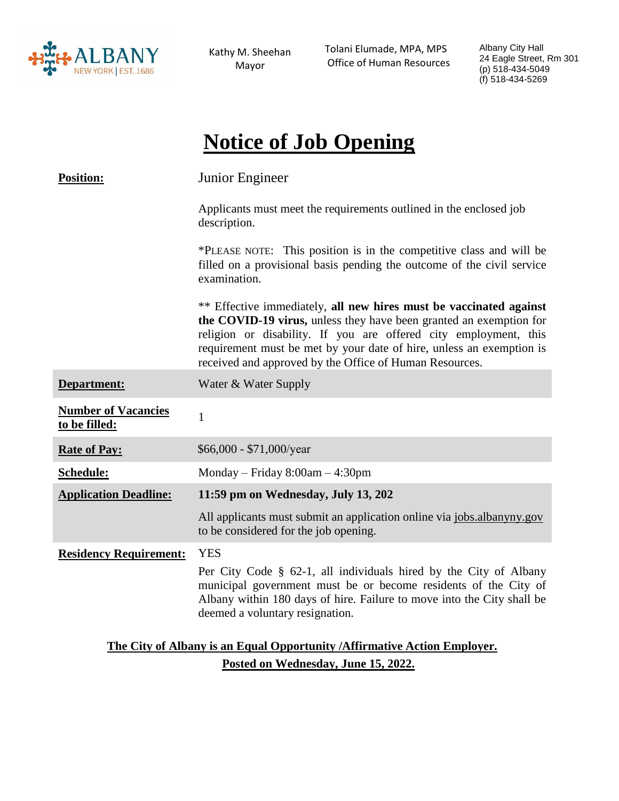

Kathy M. Sheehan Mayor

Tolani Elumade, MPA, MPS Office of Human Resources Albany City Hall 24 Eagle Street, Rm 301 (p) 518-434-5049 (f) 518-434-5269

# **Notice of Job Opening**

| <b>Position:</b>                                                          | Junior Engineer                                                                                                                                                                                                                                                                                                                                 |
|---------------------------------------------------------------------------|-------------------------------------------------------------------------------------------------------------------------------------------------------------------------------------------------------------------------------------------------------------------------------------------------------------------------------------------------|
|                                                                           | Applicants must meet the requirements outlined in the enclosed job<br>description.                                                                                                                                                                                                                                                              |
|                                                                           | *PLEASE NOTE: This position is in the competitive class and will be<br>filled on a provisional basis pending the outcome of the civil service<br>examination.                                                                                                                                                                                   |
|                                                                           | ** Effective immediately, all new hires must be vaccinated against<br>the COVID-19 virus, unless they have been granted an exemption for<br>religion or disability. If you are offered city employment, this<br>requirement must be met by your date of hire, unless an exemption is<br>received and approved by the Office of Human Resources. |
| Department:                                                               | Water & Water Supply                                                                                                                                                                                                                                                                                                                            |
| <b>Number of Vacancies</b><br>to be filled:                               | $\mathbf{1}$                                                                                                                                                                                                                                                                                                                                    |
| <b>Rate of Pay:</b>                                                       | $$66,000 - $71,000/year$                                                                                                                                                                                                                                                                                                                        |
| Schedule:                                                                 | Monday – Friday $8:00am - 4:30pm$                                                                                                                                                                                                                                                                                                               |
| <b>Application Deadline:</b>                                              | 11:59 pm on Wednesday, July 13, 202                                                                                                                                                                                                                                                                                                             |
|                                                                           | All applicants must submit an application online via jobs.albanyny.gov<br>to be considered for the job opening.                                                                                                                                                                                                                                 |
| <b>Residency Requirement:</b>                                             | <b>YES</b>                                                                                                                                                                                                                                                                                                                                      |
|                                                                           | Per City Code § 62-1, all individuals hired by the City of Albany<br>municipal government must be or become residents of the City of<br>Albany within 180 days of hire. Failure to move into the City shall be<br>deemed a voluntary resignation.                                                                                               |
| The City of Albany is an Equal Opportunity / Affirmative Action Employer. |                                                                                                                                                                                                                                                                                                                                                 |

**Posted on Wednesday, June 15, 2022.**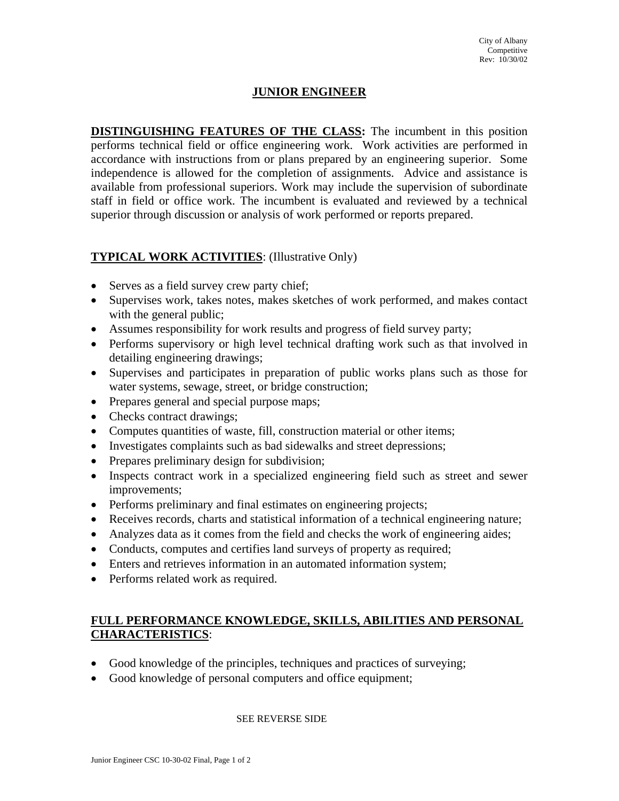## **JUNIOR ENGINEER**

**DISTINGUISHING FEATURES OF THE CLASS:** The incumbent in this position performs technical field or office engineering work. Work activities are performed in accordance with instructions from or plans prepared by an engineering superior. Some independence is allowed for the completion of assignments. Advice and assistance is available from professional superiors. Work may include the supervision of subordinate staff in field or office work. The incumbent is evaluated and reviewed by a technical superior through discussion or analysis of work performed or reports prepared.

#### **TYPICAL WORK ACTIVITIES**: (Illustrative Only)

- Serves as a field survey crew party chief;
- Supervises work, takes notes, makes sketches of work performed, and makes contact with the general public;
- Assumes responsibility for work results and progress of field survey party;
- Performs supervisory or high level technical drafting work such as that involved in detailing engineering drawings;
- Supervises and participates in preparation of public works plans such as those for water systems, sewage, street, or bridge construction;
- Prepares general and special purpose maps;
- Checks contract drawings;
- Computes quantities of waste, fill, construction material or other items;
- Investigates complaints such as bad sidewalks and street depressions;
- Prepares preliminary design for subdivision;
- Inspects contract work in a specialized engineering field such as street and sewer improvements;
- Performs preliminary and final estimates on engineering projects;
- Receives records, charts and statistical information of a technical engineering nature;
- Analyzes data as it comes from the field and checks the work of engineering aides;
- Conducts, computes and certifies land surveys of property as required;
- Enters and retrieves information in an automated information system;
- Performs related work as required.

### **FULL PERFORMANCE KNOWLEDGE, SKILLS, ABILITIES AND PERSONAL CHARACTERISTICS**:

- Good knowledge of the principles, techniques and practices of surveying;
- Good knowledge of personal computers and office equipment;

#### SEE REVERSE SIDE